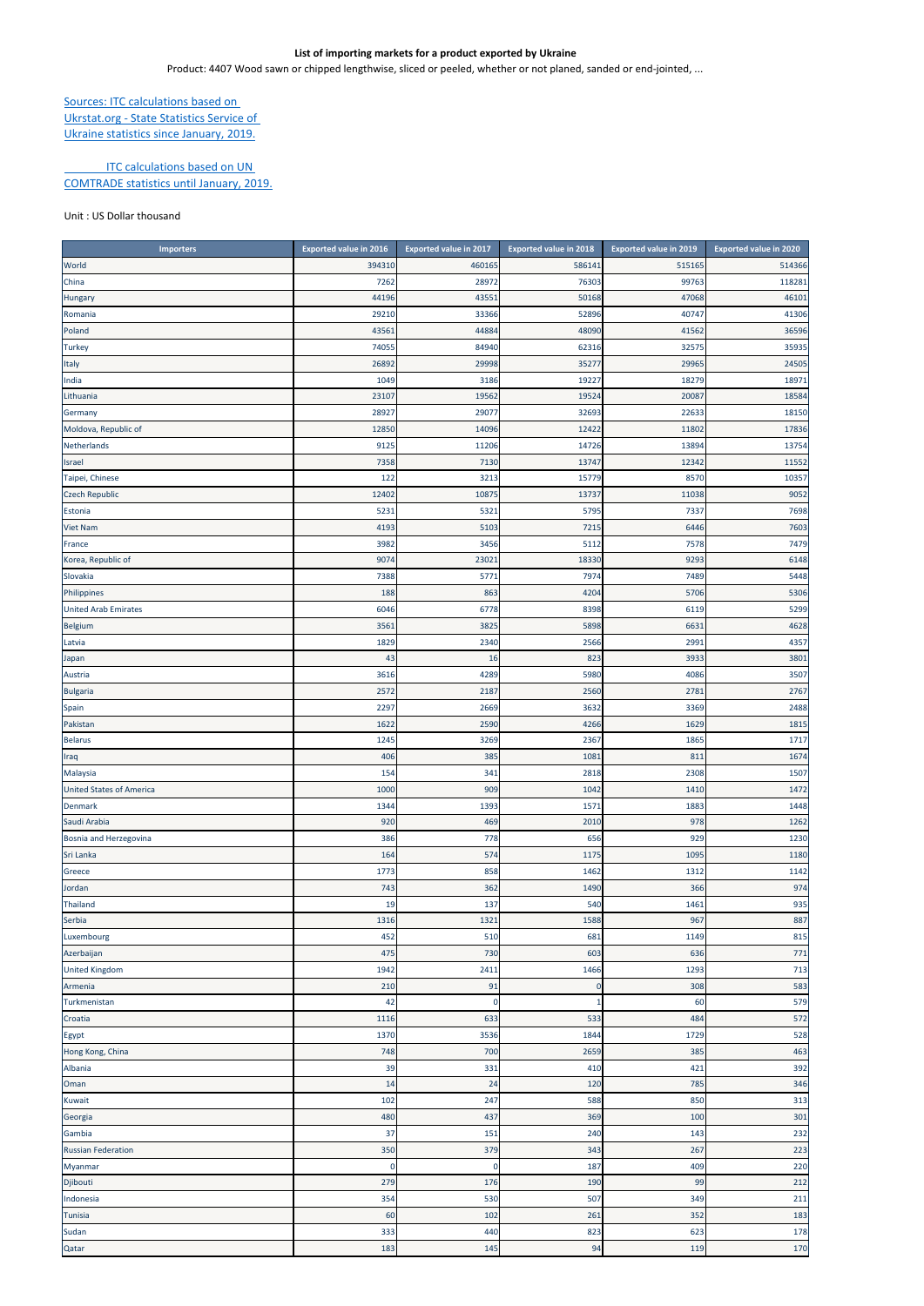## **List of importing markets for a product exported by Ukraine**

Product: 4407 Wood sawn or chipped lengthwise, sliced or peeled, whether or not planed, sanded or end‐jointed, ...

## Sources: ITC calculations based on Ukrstat.org ‐ State Statistics Service of

Ukraine statistics since January, 2019.

## **ITC calculations based on UN**

COMTRADE statistics until January, 2019.

## Unit : US Dollar thousand

| <b>Importers</b>                | <b>Exported value in 2016</b> | <b>Exported value in 2017</b> | <b>Exported value in 2018</b> | <b>Exported value in 2019</b> | <b>Exported value in 2020</b> |
|---------------------------------|-------------------------------|-------------------------------|-------------------------------|-------------------------------|-------------------------------|
| World                           | 394310                        | 460165                        | 58614                         | 515165                        | 514366                        |
| China                           | 7262                          | 28972                         | 76303                         | 99763                         | 118281                        |
| Hungary                         | 44196                         | 4355                          | 50168                         | 47068                         | 46101                         |
| Romania                         | 29210                         | 33366                         | 52896                         | 40747                         | 41306                         |
| Poland                          | 43561                         | 44884                         | 48090                         | 41562                         | 36596                         |
| <b>Turkey</b>                   | 74055                         | 84940                         | 62316                         | 32575                         | 35935                         |
| Italy                           | 2689                          | 29998                         | 3527                          | 29965                         | 24505                         |
| India                           | 1049                          | 3186                          | 19227                         | 18279                         | 18971                         |
| Lithuania                       | 2310                          | 19562                         | 19524                         | 20087                         | 18584                         |
| Germany                         | 28927                         | 29077                         | 32693                         | 22633                         | 18150                         |
| Moldova, Republic of            | 12850                         | 14096                         | 12422                         | 11802                         | 17836                         |
| Netherlands                     | 9125                          | 11206                         | 14726                         | 13894                         | 13754                         |
| Israel                          | 7358                          | 7130                          | 13747                         | 12342                         | 11552                         |
| Taipei, Chinese                 | 122                           | 3213                          | 15779                         | 8570                          | 10357                         |
| <b>Czech Republic</b>           | 12402                         | 10875                         | 13737                         | 11038                         | 9052                          |
|                                 | 5231                          | 5321                          | 579                           | 7337                          | 7698                          |
| Estonia                         |                               | 5103                          |                               | 6446                          |                               |
| <b>Viet Nam</b>                 | 4193                          |                               | 7215                          |                               | 7603                          |
| France                          | 3982                          | 3456                          | 511                           | 7578                          | 7479                          |
| Korea, Republic of              | 907                           | 2302                          | 18330                         | 9293                          | 6148                          |
| Slovakia                        | 7388                          | 577                           | 797                           | 7489                          | 5448                          |
| Philippines                     | 188                           | 863                           | 4204                          | 5706                          | 5306                          |
| <b>United Arab Emirates</b>     | 6046                          | 6778                          | 8398                          | 6119                          | 5299                          |
| Belgium                         | 3561                          | 3825                          | 5898                          | 6631                          | 4628                          |
| Latvia                          | 1829                          | 2340                          | 2566                          | 2991                          | 4357                          |
| Japan                           | 43                            | 16                            | 823                           | 3933                          | 3801                          |
| Austria                         | 3616                          | 4289                          | 5980                          | 4086                          | 3507                          |
| <b>Bulgaria</b>                 | 2572                          | 2187                          | 2560                          | 2781                          | 2767                          |
| Spain                           | 2297                          | 2669                          | 3632                          | 3369                          | 2488                          |
| Pakistan                        | 1622                          | 2590                          | 4266                          | 1629                          | 1815                          |
| <b>Belarus</b>                  | 1245                          | 3269                          | 2367                          | 1865                          | 1717                          |
| Iraq                            | 406                           | 385                           | 1081                          | 811                           | 1674                          |
| Malaysia                        | 154                           | 341                           | 2818                          | 2308                          | 1507                          |
| <b>United States of America</b> | 1000                          | 909                           | 1042                          | 1410                          | 1472                          |
| Denmark                         | 1344                          | 1393                          | 157                           | 1883                          | 1448                          |
| Saudi Arabia                    | 920                           | 469                           | 2010                          | 978                           | 1262                          |
| Bosnia and Herzegovina          | 386                           | 778                           | 656                           | 929                           | 1230                          |
| Sri Lanka                       | 164                           | 574                           | 117                           | 1095                          | 1180                          |
| Greece                          | 1773                          | 858                           | 1462                          | 1312                          | 1142                          |
| Jordan                          | 743                           | 362                           | 1490                          | 366                           | 974                           |
| Thailand                        | 19                            | 137                           | 540                           | 1461                          | 935                           |
| Serbia                          | 1316                          | 1321                          | 1588                          | 967                           | 887                           |
| Luxembourg                      | 452                           | 510                           | 681                           | 1149                          | 815                           |
| Azerbaijan                      | 475                           | 730                           | 603                           | 636                           | 771                           |
| <b>United Kingdom</b>           | 1942                          | 2411                          | 1466                          | 1293                          | 713                           |
| Armenia                         | 210                           | 91                            | 0                             | 308                           | 583                           |
| Turkmenistan                    | 42                            | 0                             |                               | 60                            | 579                           |
| Croatia                         | 1116                          | 633                           | 533                           | 484                           | 572                           |
| Egypt                           | 1370                          | 3536                          | 1844                          | 1729                          | 528                           |
| Hong Kong, China                | 748                           | 700                           | 2659                          | 385                           | 463                           |
| Albania                         | 39                            | 331                           | 410                           | 421                           | 392                           |
| Oman                            | 14                            | 24                            | 120                           | 785                           | 346                           |
| Kuwait                          | 102                           | 247                           | 588                           | 850                           | 313                           |
|                                 |                               |                               | 369                           |                               |                               |
| Georgia                         | <b>480</b>                    | 437                           |                               | 100                           | 301                           |
| Gambia                          | 37                            | 151                           | 240                           | 143                           | 232                           |
| <b>Russian Federation</b>       | 350                           | 379                           | 343                           | 267                           | 223                           |
| Myanmar                         | $\mathbf 0$                   | $\mathbf 0$                   | 187                           | 409                           | 220                           |
| Djibouti                        | 279                           | 176                           | 190                           | 99                            | 212                           |
| Indonesia                       | 354                           | 530                           | 507                           | 349                           | 211                           |
| Tunisia                         | 60                            | 102                           | 261                           | 352                           | 183                           |
| Sudan                           | 333                           | 440                           | 823                           | 623                           | 178                           |
| Qatar                           | 183                           | 145                           | 94                            | 119                           | 170                           |